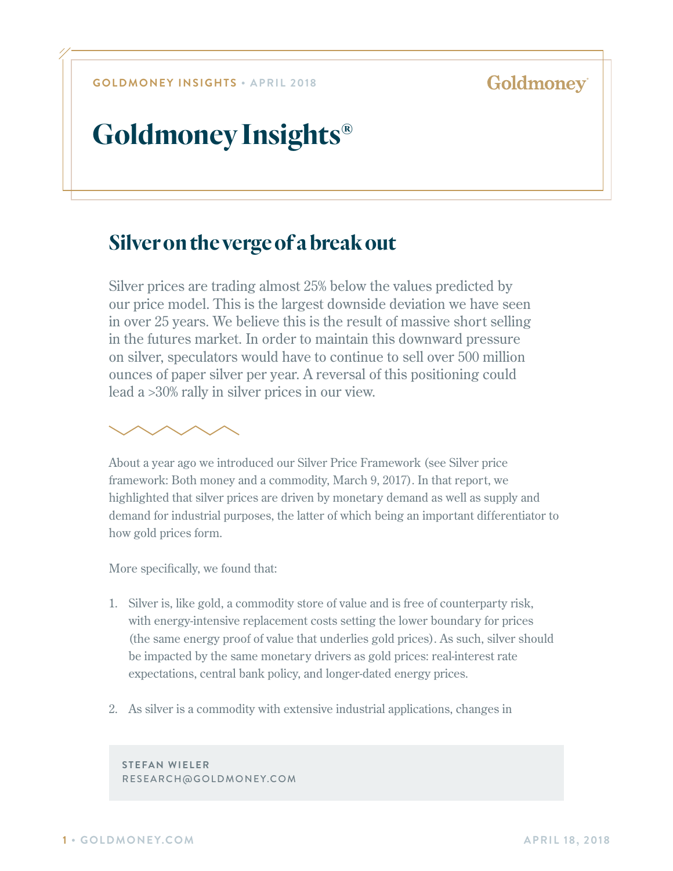Н

# **Goldmoney Insights®**

## **Silver on the verge of a break out**

Silver prices are trading almost 25% below the values predicted by our price model. This is the largest downside deviation we have seen in over 25 years. We believe this is the result of massive short selling in the futures market. In order to maintain this downward pressure on silver, speculators would have to continue to sell over 500 million ounces of paper silver per year. A reversal of this positioning could lead a >30% rally in silver prices in our view.



About a year ago we introduced our Silver Price Framework (see Silver price framework: Both money and a commodity, March 9, 2017). In that report, we highlighted that silver prices are driven by monetary demand as well as supply and demand for industrial purposes, the latter of which being an important differentiator to how gold prices form.

More specifically, we found that:

- 1. Silver is, like gold, a commodity store of value and is free of counterparty risk, with energy-intensive replacement costs setting the lower boundary for prices (the same energy proof of value that underlies gold prices). As such, silver should be impacted by the same monetary drivers as gold prices: real-interest rate expectations, central bank policy, and longer-dated energy prices.
- 2. As silver is a commodity with extensive industrial applications, changes in

**STEFAN WIELER** RESEARCH@GOLDMONEY.COM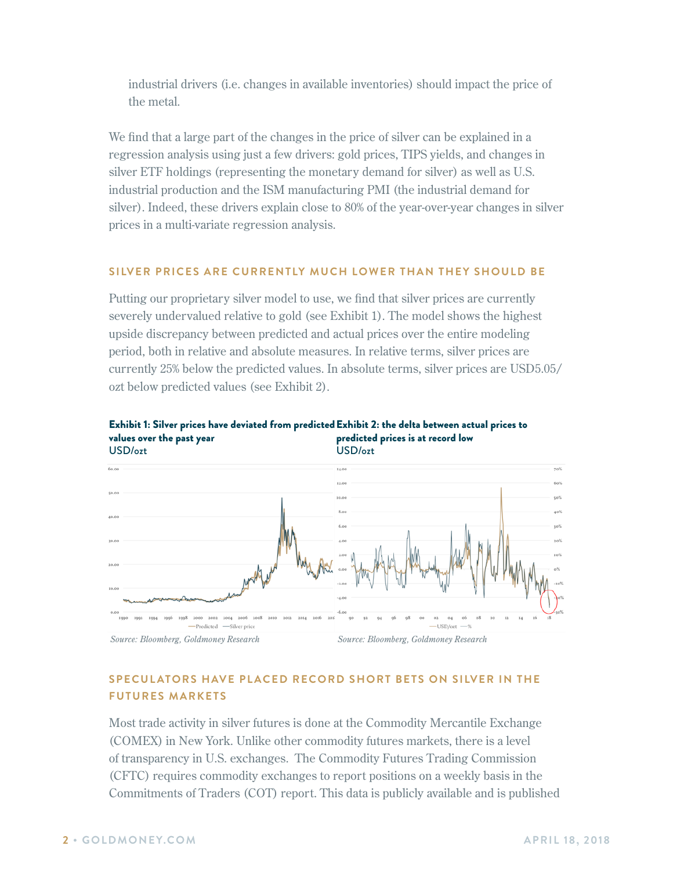industrial drivers (i.e. changes in available inventories) should impact the price of the metal.

We find that a large part of the changes in the price of silver can be explained in a regression analysis using just a few drivers: gold prices, TIPS yields, and changes in silver ETF holdings (representing the monetary demand for silver) as well as U.S. industrial production and the ISM manufacturing PMI (the industrial demand for silver). Indeed, these drivers explain close to 80% of the year-over-year changes in silver prices in a multi-variate regression analysis.

### **SILVER PRICES ARE CURRENTLY MUCH LOWER THAN THEY SHOULD BE**

Putting our proprietary silver model to use, we find that silver prices are currently severely undervalued relative to gold (see Exhibit 1). The model shows the highest upside discrepancy between predicted and actual prices over the entire modeling period, both in relative and absolute measures. In relative terms, silver prices are currently 25% below the predicted values. In absolute terms, silver prices are USD5.05/ ozt below predicted values (see Exhibit 2).





## **SPECUL ATORS HAVE PL ACED RECORD SHORT BETS ON SILVER IN THE FUTURES MARKETS**

Most trade activity in silver futures is done at the Commodity Mercantile Exchange (COMEX) in New York. Unlike other commodity futures markets, there is a level of transparency in U.S. exchanges. The Commodity Futures Trading Commission (CFTC) requires commodity exchanges to report positions on a weekly basis in the Commitments of Traders (COT) report. This data is publicly available and is published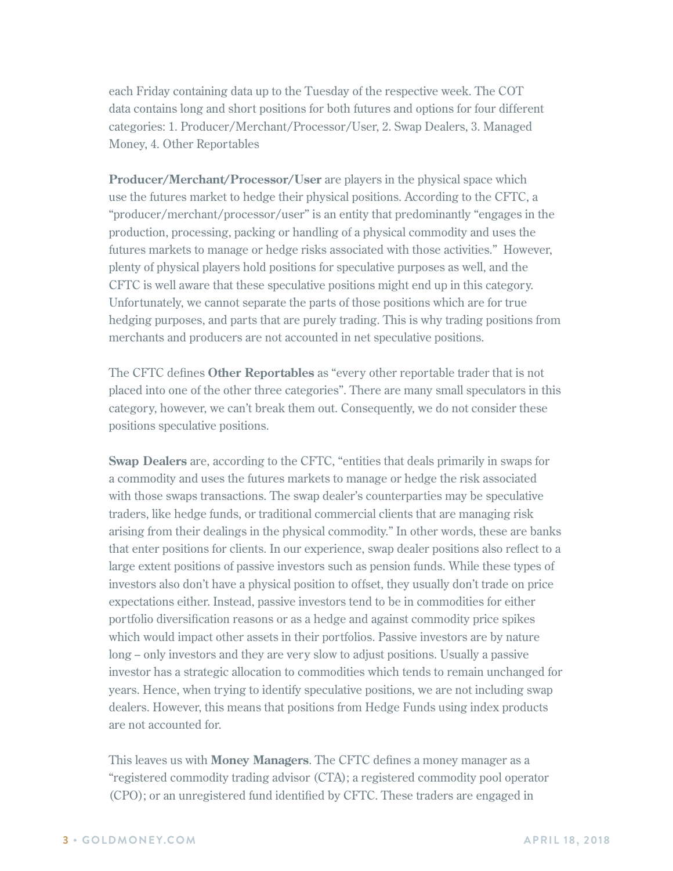each Friday containing data up to the Tuesday of the respective week. The COT data contains long and short positions for both futures and options for four different categories: 1. Producer/Merchant/Processor/User, 2. Swap Dealers, 3. Managed Money, 4. Other Reportables

**Producer/Merchant/Processor/User** are players in the physical space which use the futures market to hedge their physical positions. According to the CFTC, a "producer/merchant/processor/user" is an entity that predominantly "engages in the production, processing, packing or handling of a physical commodity and uses the futures markets to manage or hedge risks associated with those activities." However, plenty of physical players hold positions for speculative purposes as well, and the CFTC is well aware that these speculative positions might end up in this category. Unfortunately, we cannot separate the parts of those positions which are for true hedging purposes, and parts that are purely trading. This is why trading positions from merchants and producers are not accounted in net speculative positions.

The CFTC defines **Other Reportables** as "every other reportable trader that is not placed into one of the other three categories". There are many small speculators in this category, however, we can't break them out. Consequently, we do not consider these positions speculative positions.

**Swap Dealers** are, according to the CFTC, "entities that deals primarily in swaps for a commodity and uses the futures markets to manage or hedge the risk associated with those swaps transactions. The swap dealer's counterparties may be speculative traders, like hedge funds, or traditional commercial clients that are managing risk arising from their dealings in the physical commodity." In other words, these are banks that enter positions for clients. In our experience, swap dealer positions also reflect to a large extent positions of passive investors such as pension funds. While these types of investors also don't have a physical position to offset, they usually don't trade on price expectations either. Instead, passive investors tend to be in commodities for either portfolio diversification reasons or as a hedge and against commodity price spikes which would impact other assets in their portfolios. Passive investors are by nature long – only investors and they are very slow to adjust positions. Usually a passive investor has a strategic allocation to commodities which tends to remain unchanged for years. Hence, when trying to identify speculative positions, we are not including swap dealers. However, this means that positions from Hedge Funds using index products are not accounted for.

This leaves us with **Money Managers**. The CFTC defines a money manager as a "registered commodity trading advisor (CTA); a registered commodity pool operator (CPO); or an unregistered fund identified by CFTC. These traders are engaged in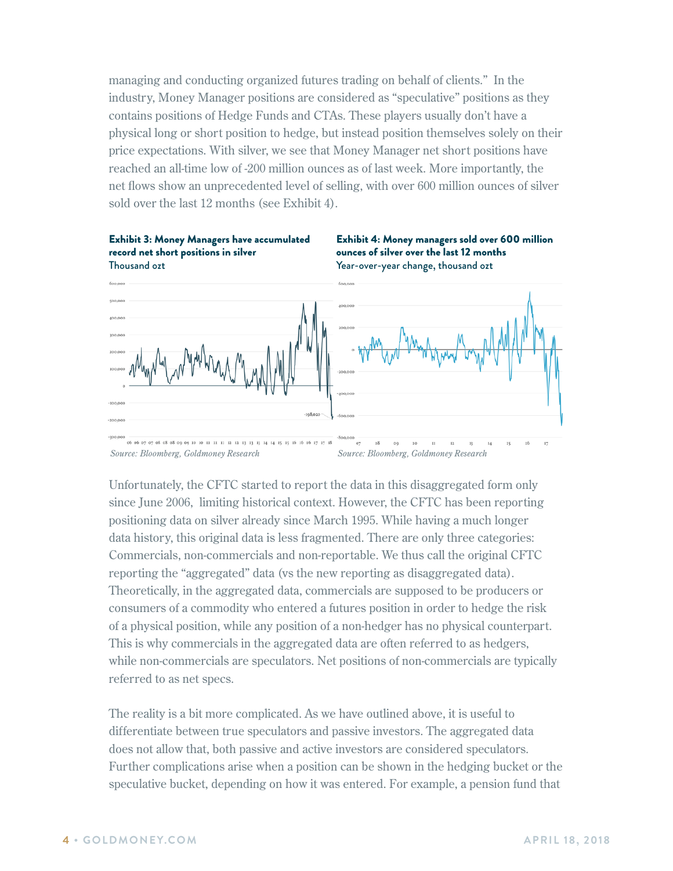managing and conducting organized futures trading on behalf of clients." In the industry, Money Manager positions are considered as "speculative" positions as they contains positions of Hedge Funds and CTAs. These players usually don't have a physical long or short position to hedge, but instead position themselves solely on their price expectations. With silver, we see that Money Manager net short positions have reached an all-time low of -200 million ounces as of last week. More importantly, the net flows show an unprecedented level of selling, with over 600 million ounces of silver sold over the last 12 months (see Exhibit 4).



Unfortunately, the CFTC started to report the data in this disaggregated form only since June 2006, limiting historical context. However, the CFTC has been reporting positioning data on silver already since March 1995. While having a much longer data history, this original data is less fragmented. There are only three categories: Commercials, non-commercials and non-reportable. We thus call the original CFTC reporting the "aggregated" data (vs the new reporting as disaggregated data). Theoretically, in the aggregated data, commercials are supposed to be producers or consumers of a commodity who entered a futures position in order to hedge the risk of a physical position, while any position of a non-hedger has no physical counterpart. This is why commercials in the aggregated data are often referred to as hedgers, while non-commercials are speculators. Net positions of non-commercials are typically referred to as net specs.

The reality is a bit more complicated. As we have outlined above, it is useful to differentiate between true speculators and passive investors. The aggregated data does not allow that, both passive and active investors are considered speculators. Further complications arise when a position can be shown in the hedging bucket or the speculative bucket, depending on how it was entered. For example, a pension fund that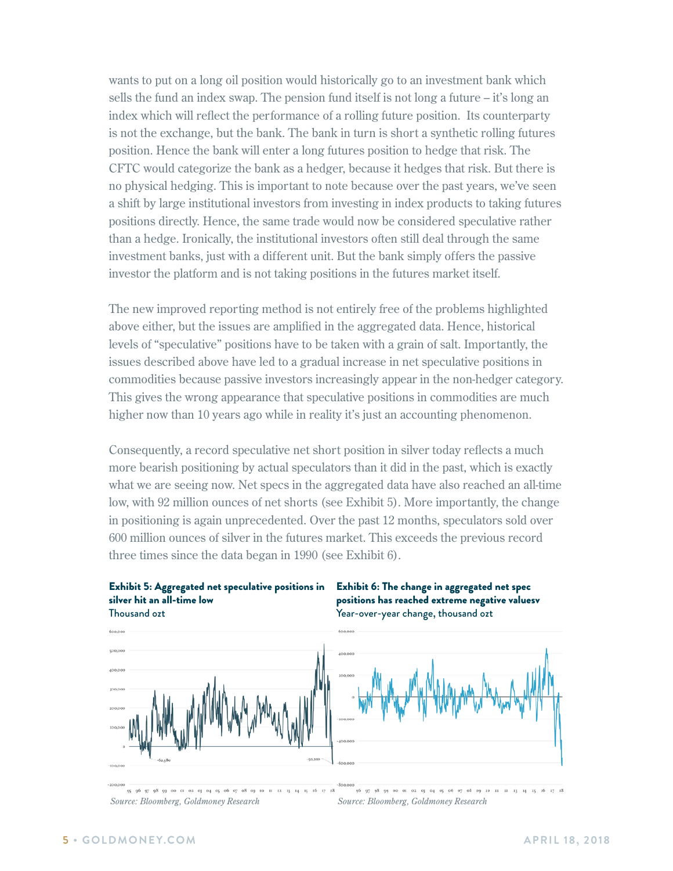wants to put on a long oil position would historically go to an investment bank which sells the fund an index swap. The pension fund itself is not long a future – it's long an index which will reflect the performance of a rolling future position. Its counterparty is not the exchange, but the bank. The bank in turn is short a synthetic rolling futures position. Hence the bank will enter a long futures position to hedge that risk. The CFTC would categorize the bank as a hedger, because it hedges that risk. But there is no physical hedging. This is important to note because over the past years, we've seen a shift by large institutional investors from investing in index products to taking futures positions directly. Hence, the same trade would now be considered speculative rather than a hedge. Ironically, the institutional investors often still deal through the same investment banks, just with a different unit. But the bank simply offers the passive investor the platform and is not taking positions in the futures market itself.

The new improved reporting method is not entirely free of the problems highlighted above either, but the issues are amplified in the aggregated data. Hence, historical levels of "speculative" positions have to be taken with a grain of salt. Importantly, the issues described above have led to a gradual increase in net speculative positions in commodities because passive investors increasingly appear in the non-hedger category. This gives the wrong appearance that speculative positions in commodities are much higher now than 10 years ago while in reality it's just an accounting phenomenon.

Consequently, a record speculative net short position in silver today reflects a much more bearish positioning by actual speculators than it did in the past, which is exactly what we are seeing now. Net specs in the aggregated data have also reached an all-time low, with 92 million ounces of net shorts (see Exhibit 5). More importantly, the change in positioning is again unprecedented. Over the past 12 months, speculators sold over 600 million ounces of silver in the futures market. This exceeds the previous record three times since the data began in 1990 (see Exhibit 6).





positions has reached extreme negative valuesv Year-over-year change, thousand ozt



 $96$   $97$   $98$   $99$   $90$   $01$   $02$   $03$   $04$   $05$   $06$   $07$   $08$   $09$ 11 12 13 14 15 16 *Source: Bloomberg, Goldmoney Research Source: Bloomberg, Goldmoney Research*

-800,000<br>96 97 98 99 00 01 02 03 04 05 06 07 08 09 10 11 12 13 14